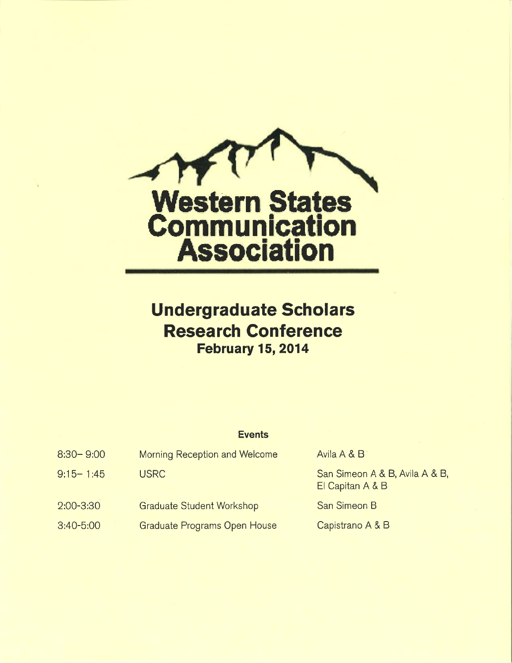

# **Undergraduate Scholars** Research Conference February 15, 2014

| Events |
|--------|
|        |

| $8:30 - 9:00$ | Morning Reception and Welcome    | Avila A & B                                        |
|---------------|----------------------------------|----------------------------------------------------|
| $9:15 - 1:45$ | <b>USRC</b>                      | San Simeon A & B, Avila A & B,<br>El Capitan A & B |
| $2:00 - 3:30$ | <b>Graduate Student Workshop</b> | San Simeon B                                       |
| $3:40 - 5:00$ | Graduate Programs Open House     | Capistrano A & B                                   |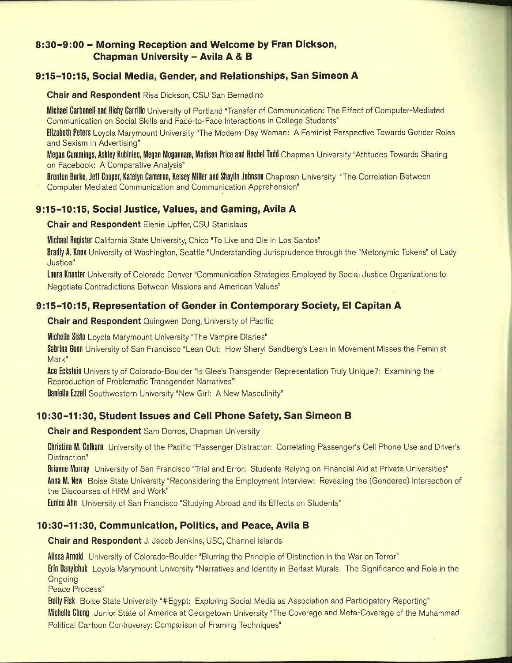# 8:30-9:00 - Morning Reception and Welcome by Fran Dickson, **Chapman University - Avila A & B**

## 9:15-10:15, Social Media, Gender, and Relationships, San Simeon A

**Chair and Respondent Risa Dickson, CSU San Bernadino** 

Michael Carbonell and Richy Carrillo University of Portland "Transfer of Communication: The Effect of Computer-Mediated Communication on Social Skills and Face-to-Face Interactions in College Students"

Elizabeth Peters Loyola Marymount University "The Modern-Day Woman: A Feminist Perspective Towards Gender Roles and Sexism in Advertising"

Megan Cummings, Ashley Kubiniec, Megan Mogannam, Madison Price and Rachel Todd Chapman University "Attitudes Towards Sharing on Facebook: A Comparative Analysis"

Brenton Burke, Jeff Cooper, Katelyn Cameron, Kelsey Miller and Shaylin Johnson Chapman University "The Correlation Between

Computer Mediated Communication and Communication Apprehension"

## 9:15-10:15, Social Justice, Values, and Gaming, Avila A

**Chair and Respondent Elenie Upffer, CSU Stanislaus** 

Michael Register California State University, Chico "To Live and Die in Los Santos"

Bradly A. Knox University of Washington, Seattle "Understanding Jurisprudence through the "Metonymic Tokens" of Lady Justice"

Laura Knaster University of Colorado Denver "Communication Strategies Employed by Social Justice Organizations to Negotiate Contradictions Between Missions and American Values"

## 9:15-10:15, Representation of Gender in Contemporary Society, El Capitan A

**Chair and Respondent Auingwen Dong, University of Pacific** 

Michelle Sisto Loyola Marymount University "The Vampire Diaries"

Sabrina Gunn University of San Francisco "Lean Out: How Sheryl Sandberg's Lean In Movement Misses the Feminist Mark"

Ace Eckstein University of Colorado-Boulder "Is Glee's Transgender Representation Truly Unique?: Examining the Reproduction of Problematic Transgender Narratives"

**Danielle Ezzell** Southwestern University "New Girl: A New Masculinity"

## 10:30-11:30, Student Issues and Cell Phone Safety, San Simeon B

**Chair and Respondent** Sam Dorros, Chapman University

Christina M. Colburn University of the Pacific "Passenger Distractor: Correlating Passenger's Cell Phone Use and Driver's Distraction"

Brianne Murray University of San Francisco "Trial and Error: Students Relying on Financial Aid at Private Universities" Anna M. New Boise State University "Reconsidering the Employment Interview: Revealing the (Gendered) Intersection of the Discourses of HRM and Work"

**Eunice Ahn** University of San Francisco "Studying Abroad and its Effects on Students"

#### 10:30-11:30, Communication, Politics, and Peace, Avila B

Chair and Respondent J. Jacob Jenkins, USC, Channel Islands

Alissa Arnold University of Colorado-Boulder "Blurring the Principle of Distinction in the War on Terror"

**Erin Danylchuk** Loyola Marymount University "Narratives and Identity in Belfast Murals: The Significance and Role in the Ongoing

Peace Process"

Emily Fisk Boise State University "#Egypt: Exploring Social Media as Association and Participatory Reporting" Michelle Chong Junior State of America at Georgetown University "The Coverage and Meta-Coverage of the Muhammad Political Cartoon Controversy: Comparison of Framing Techniques"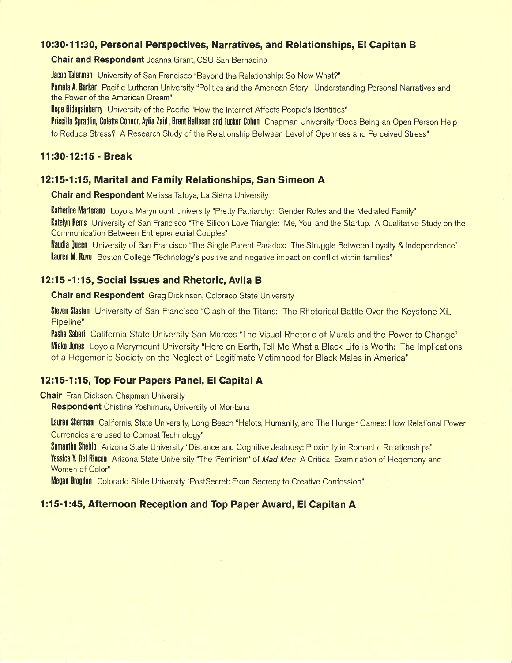#### 10:30-11:30, Personal Perspectives, Narratives, and Relationships, El Capitan B

Chair and Respondent Joanna Grant, CSU San Bernadino

Jacob Talarman University of San Francisco "Beyond the Relationship: So Now What?"

Pamela A. Barker Pacific Lutheran University "Politics and the American Story: Understanding Personal Narratives and the Power of the American Dream"

**Hope Bidegainberry** University of the Pacific "How the Internet Affects People's Identities"

Priscilla Spradlin, Colette Connor, Aylia Zaidi, Brent Hellesen and Tucker Cohen Chapman University "Does Being an Open Person Help to Reduce Stress? A Research Study of the Relationship Between Level of Openness and Perceived Stress"

#### 11:30-12:15 - Break

#### 12:15-1:15, Marital and Family Relationships, San Simeon A

**Chair and Respondent** Melissa Tafoya, La Sierra University

Katherine Martorano Loyola Marymount University "Pretty Patriarchy: Gender Roles and the Mediated Family" Katelyn Rems University of San Francisco "The Silicon Love Triangle: Me, You, and the Startup. A Qualitative Study on the Communication Between Entrepreneurial Couples"

Naudia Queen University of San Francisco "The Single Parent Paradox: The Struggle Between Loyalty & Independence" Lauren M. Ruvo Boston College "Technology's positive and negative impact on conflict within families"

#### 12:15 -1:15, Social Issues and Rhetoric, Avila B

**Chair and Respondent** Greg Dickinson, Colorado State University

Steven Slasten University of San Francisco "Clash of the Titans: The Rhetorical Battle Over the Keystone XL Pipeline"

Pasha Saberi California State University San Marcos "The Visual Rhetoric of Murals and the Power to Change" Micke Jones Loyola Marymount University "Here on Earth. Tell Me What a Black Life is Worth: The Implications of a Hegemonic Society on the Neglect of Legitimate Victimhood for Black Males in America"

## 12:15-1:15, Top Four Papers Panel, El Capital A

**Chair** Fran Dickson, Chapman University

**Respondent** Chistina Yoshimura, University of Montana

Lauren Sherman California State University, Long Beach "Helots, Humanity, and The Hunger Games: How Relational Power Currencies are used to Combat Technology"

Samantha Shebib Arizona State University "Distance and Cognitive Jealousy: Proximity in Romantic Relationships" Yessica Y. Del Rincon Arizona State University "The 'Feminism' of Mad Men: A Critical Examination of Hegemony and

Women of Color"

Megan Brogdon Colorado State University "PostSecret: From Secrecy to Creative Confession"

# 1:15-1:45, Afternoon Reception and Top Paper Award, El Capitan A